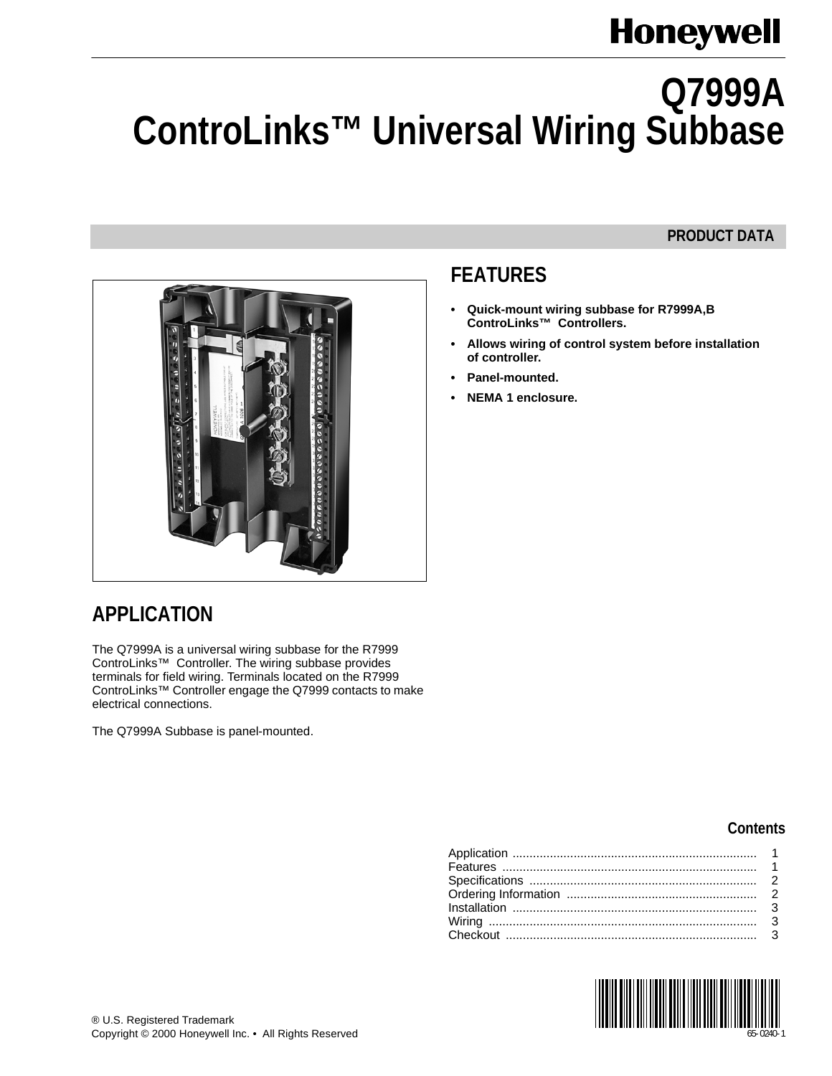# **Honeywell**

# **Q7999A ControLinks™ Universal Wiring Subbase**

#### **PRODUCT DATA**



#### <span id="page-0-0"></span>**APPLICATION**

The Q7999A is a universal wiring subbase for the R7999 ControLinks™ Controller. The wiring subbase provides terminals for field wiring. Terminals located on the R7999 ControLinks™ Controller engage the Q7999 contacts to make electrical connections.

The Q7999A Subbase is panel-mounted.

## <span id="page-0-1"></span>**FEATURES**

- **Quick-mount wiring subbase for R7999A,B ControLinks™ Controllers.**
- **Allows wiring of control system before installation of controller.**
- **Panel-mounted.**
- **NEMA 1 enclosure.**

#### **Contents**

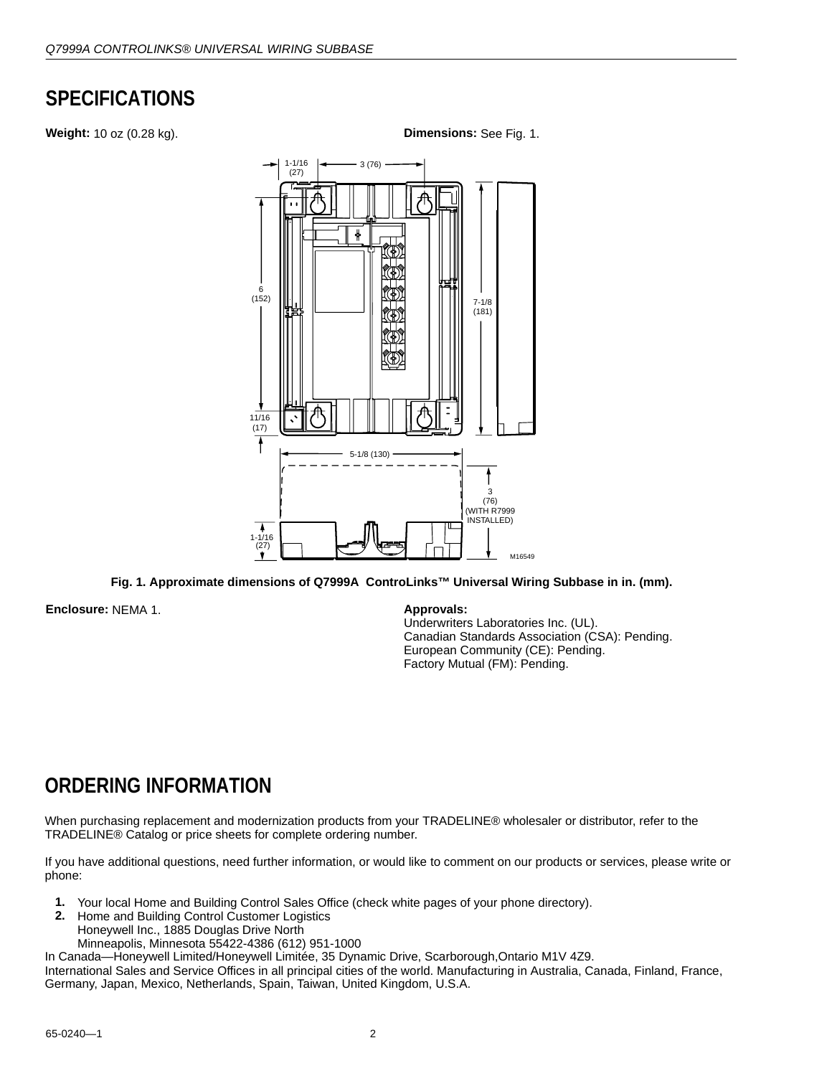#### <span id="page-1-0"></span>**SPECIFICATIONS**

**Weight:** 10 oz (0.28 kg). **Dimensions:** See Fig. 1. 7-1/8 (181) 3 (76) 6 (152) 5-1/8 (130) 1-1/16 (27) M16549  $11/16$ (17) 3 (76) (WITH R7999 INSTALLED) 1-1/16  $(27)$ 

**Fig. 1. Approximate dimensions of Q7999A ControLinks™ Universal Wiring Subbase in in. (mm).**

**Enclosure:** NEMA 1. **Approvals:**

Underwriters Laboratories Inc. (UL). Canadian Standards Association (CSA): Pending. European Community (CE): Pending. Factory Mutual (FM): Pending.

#### <span id="page-1-1"></span>**ORDERING INFORMATION**

When purchasing replacement and modernization products from your TRADELINE® wholesaler or distributor, refer to the TRADELINE® Catalog or price sheets for complete ordering number.

If you have additional questions, need further information, or would like to comment on our products or services, please write or phone:

- **1.** Your local Home and Building Control Sales Office (check white pages of your phone directory).
- **2.** Home and Building Control Customer Logistics Honeywell Inc., 1885 Douglas Drive North Minneapolis, Minnesota 55422-4386 (612) 951-1000
- In Canada—Honeywell Limited/Honeywell Limitée, 35 Dynamic Drive, Scarborough,Ontario M1V 4Z9.

International Sales and Service Offices in all principal cities of the world. Manufacturing in Australia, Canada, Finland, France, Germany, Japan, Mexico, Netherlands, Spain, Taiwan, United Kingdom, U.S.A.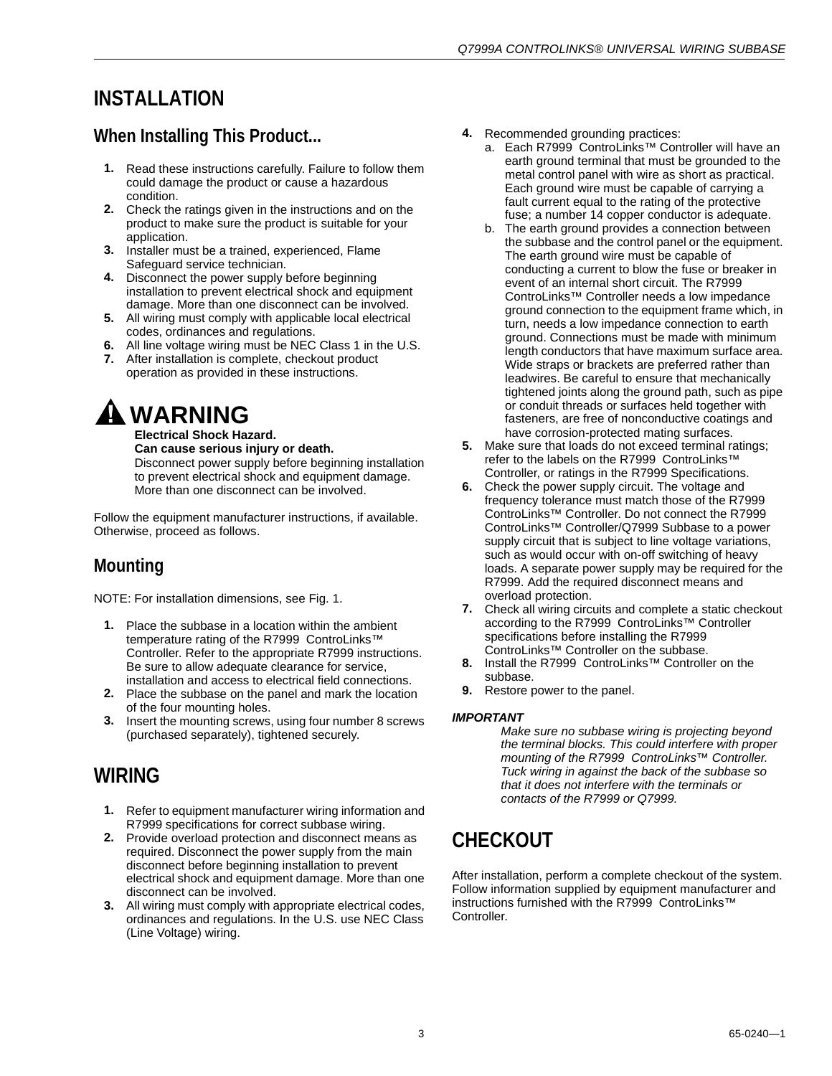## <span id="page-2-0"></span>**INSTALLATION**

#### **When Installing This Product...**

- **1.** Read these instructions carefully. Failure to follow them could damage the product or cause a hazardous condition.
- **2.** Check the ratings given in the instructions and on the product to make sure the product is suitable for your application.
- **3.** Installer must be a trained, experienced, Flame Safeguard service technician.
- **4.** Disconnect the power supply before beginning installation to prevent electrical shock and equipment damage. More than one disconnect can be involved.
- **5.** All wiring must comply with applicable local electrical codes, ordinances and regulations.
- **6.** All line voltage wiring must be NEC Class 1 in the U.S.
- **7.** After installation is complete, checkout product operation as provided in these instructions.

# **WARNING**

**Electrical Shock Hazard. Can cause serious injury or death.** Disconnect power supply before beginning installation to prevent electrical shock and equipment damage. More than one disconnect can be involved.

Follow the equipment manufacturer instructions, if available. Otherwise, proceed as follows.

## **Mounting**

NOTE: For installation dimensions, see Fig. 1.

- **1.** Place the subbase in a location within the ambient temperature rating of the R7999 ControLinks™ Controller. Refer to the appropriate R7999 instructions. Be sure to allow adequate clearance for service, installation and access to electrical field connections.
- **2.** Place the subbase on the panel and mark the location of the four mounting holes.
- **3.** Insert the mounting screws, using four number 8 screws (purchased separately), tightened securely.

## <span id="page-2-1"></span>**WIRING**

- **1.** Refer to equipment manufacturer wiring information and R7999 specifications for correct subbase wiring.
- **2.** Provide overload protection and disconnect means as required. Disconnect the power supply from the main disconnect before beginning installation to prevent electrical shock and equipment damage. More than one disconnect can be involved.
- **3.** All wiring must comply with appropriate electrical codes, ordinances and regulations. In the U.S. use NEC Class (Line Voltage) wiring.
- **4.** Recommended grounding practices:
	- a. Each R7999 ControLinks™ Controller will have an earth ground terminal that must be grounded to the metal control panel with wire as short as practical. Each ground wire must be capable of carrying a fault current equal to the rating of the protective fuse; a number 14 copper conductor is adequate.
	- b. The earth ground provides a connection between the subbase and the control panel or the equipment. The earth ground wire must be capable of conducting a current to blow the fuse or breaker in event of an internal short circuit. The R7999 ControLinks™ Controller needs a low impedance ground connection to the equipment frame which, in turn, needs a low impedance connection to earth ground. Connections must be made with minimum length conductors that have maximum surface area. Wide straps or brackets are preferred rather than leadwires. Be careful to ensure that mechanically tightened joints along the ground path, such as pipe or conduit threads or surfaces held together with fasteners, are free of nonconductive coatings and have corrosion-protected mating surfaces.
- **5.** Make sure that loads do not exceed terminal ratings; refer to the labels on the R7999 ControLinks™ Controller, or ratings in the R7999 Specifications.
- **6.** Check the power supply circuit. The voltage and frequency tolerance must match those of the R7999 ControLinks™ Controller. Do not connect the R7999 ControLinks™ Controller/Q7999 Subbase to a power supply circuit that is subject to line voltage variations, such as would occur with on-off switching of heavy loads. A separate power supply may be required for the R7999. Add the required disconnect means and overload protection.
- **7.** Check all wiring circuits and complete a static checkout according to the R7999 ControLinks™ Controller specifications before installing the R7999 ControLinks™ Controller on the subbase.
- **8.** Install the R7999 ControLinks™ Controller on the subbase.
- **9.** Restore power to the panel.

#### *IMPORTANT*

*Make sure no subbase wiring is projecting beyond the terminal blocks. This could interfere with proper mounting of the R7999 ControLinks™ Controller. Tuck wiring in against the back of the subbase so that it does not interfere with the terminals or contacts of the R7999 or Q7999.*

## <span id="page-2-2"></span>**CHECKOUT**

After installation, perform a complete checkout of the system. Follow information supplied by equipment manufacturer and instructions furnished with the R7999 ControLinks™ **Controller**